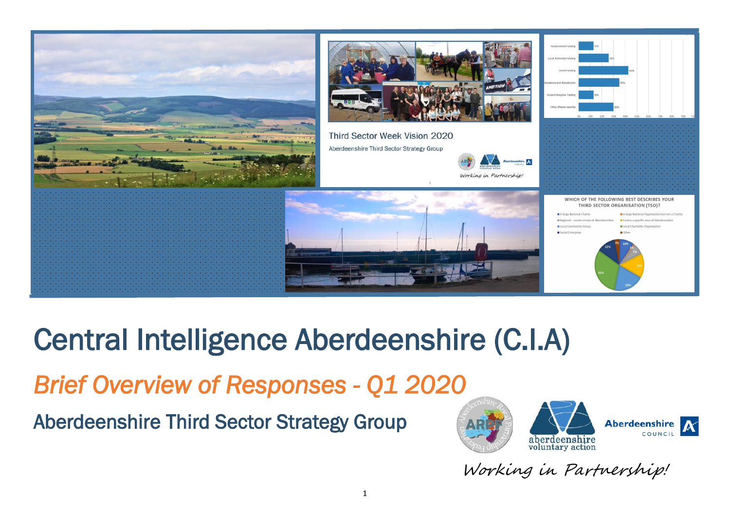

# Central Intelligence Aberdeenshire (C.I.A)

*Brief Overview of Responses - Q1 2020* 

Aberdeenshire Third Sector Strategy Group



Working in Partnership!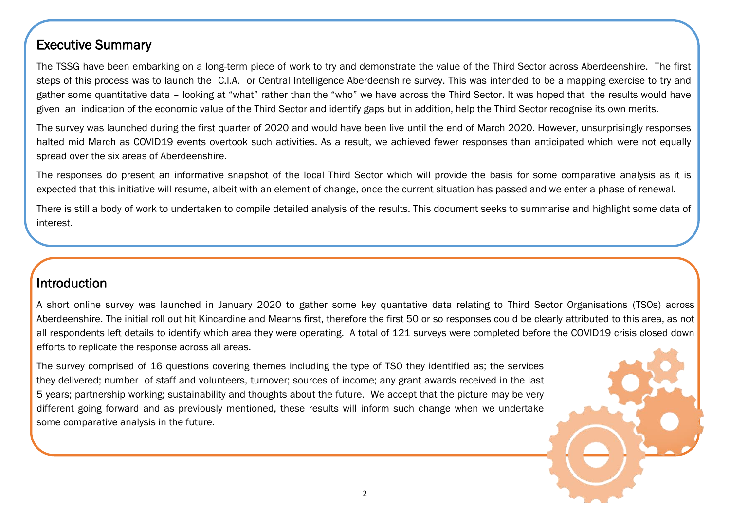#### Executive Summary

The TSSG have been embarking on a long-term piece of work to try and demonstrate the value of the Third Sector across Aberdeenshire. The first steps of this process was to launch the C.I.A. or Central Intelligence Aberdeenshire survey. This was intended to be a mapping exercise to try and gather some quantitative data – looking at "what" rather than the "who" we have across the Third Sector. It was hoped that the results would have given an indication of the economic value of the Third Sector and identify gaps but in addition, help the Third Sector recognise its own merits.

The survey was launched during the first quarter of 2020 and would have been live until the end of March 2020. However, unsurprisingly responses halted mid March as COVID19 events overtook such activities. As a result, we achieved fewer responses than anticipated which were not equally spread over the six areas of Aberdeenshire.

The responses do present an informative snapshot of the local Third Sector which will provide the basis for some comparative analysis as it is expected that this initiative will resume, albeit with an element of change, once the current situation has passed and we enter a phase of renewal.

There is still a body of work to undertaken to compile detailed analysis of the results. This document seeks to summarise and highlight some data of interest.

#### **Introduction**

A short online survey was launched in January 2020 to gather some key quantative data relating to Third Sector Organisations (TSOs) across Aberdeenshire. The initial roll out hit Kincardine and Mearns first, therefore the first 50 or so responses could be clearly attributed to this area, as not all respondents left details to identify which area they were operating. A total of 121 surveys were completed before the COVID19 crisis closed down efforts to replicate the response across all areas.

The survey comprised of 16 questions covering themes including the type of TSO they identified as; the services they delivered; number of staff and volunteers, turnover; sources of income; any grant awards received in the last 5 years; partnership working; sustainability and thoughts about the future. We accept that the picture may be very different going forward and as previously mentioned, these results will inform such change when we undertake some comparative analysis in the future.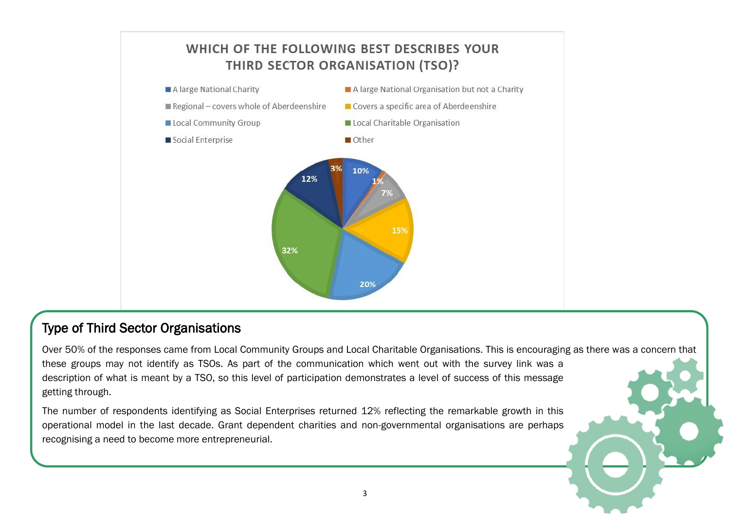

#### Type of Third Sector Organisations

Over 50% of the responses came from Local Community Groups and Local Charitable Organisations. This is encouraging as there was a concern that these groups may not identify as TSOs. As part of the communication which went out with the survey link was a description of what is meant by a TSO, so this level of participation demonstrates a level of success of this message getting through.

The number of respondents identifying as Social Enterprises returned 12% reflecting the remarkable growth in this operational model in the last decade. Grant dependent charities and non-governmental organisations are perhaps recognising a need to become more entrepreneurial.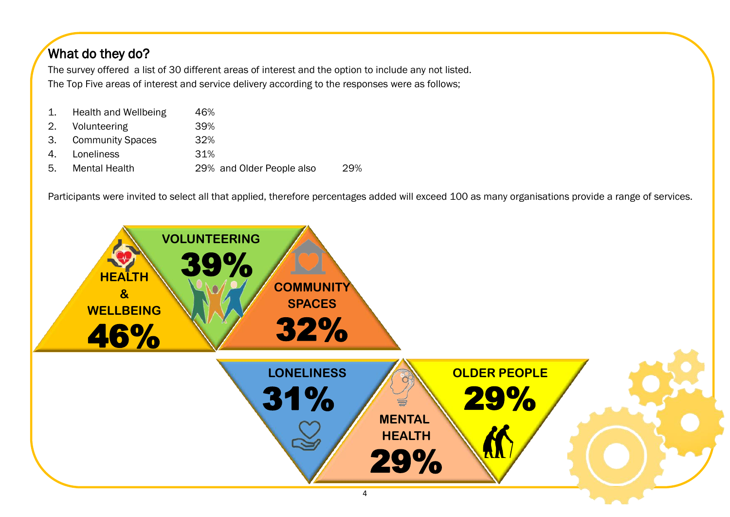# What do they do?

The survey offered a list of 30 different areas of interest and the option to include any not listed. The Top Five areas of interest and service delivery according to the responses were as follows;

|    | 1. Health and Wellbeing | 46%                       |     |
|----|-------------------------|---------------------------|-----|
|    | 2. Volunteering         | 39%                       |     |
|    | 3. Community Spaces     | 32%                       |     |
| 4. | Loneliness              | 31%                       |     |
| 5. | <b>Mental Health</b>    | 29% and Older People also | 29% |

Participants were invited to select all that applied, therefore percentages added will exceed 100 as many organisations provide a range of services.

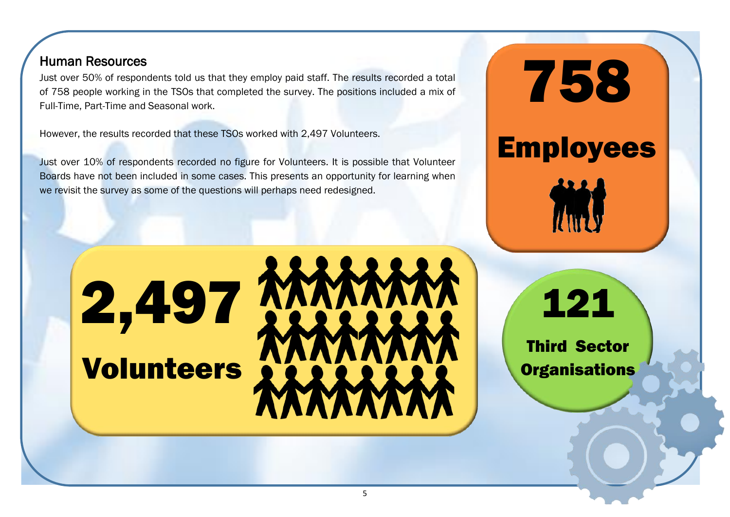#### Human Resources

Í

Just over 50% of respondents told us that they employ paid staff. The results recorded a total of 758 people working in the TSOs that completed the survey. The positions included a mix of Full-Time, Part-Time and Seasonal work.

However, the results recorded that these TSOs worked with 2,497 Volunteers.

2,497

Volunteers

Just over 10% of respondents recorded no figure for Volunteers. It is possible that Volunteer Boards have not been included in some cases. This presents an opportunity for learning when we revisit the survey as some of the questions will perhaps need redesigned.

121

758

Employees

Third Sector **Organisations**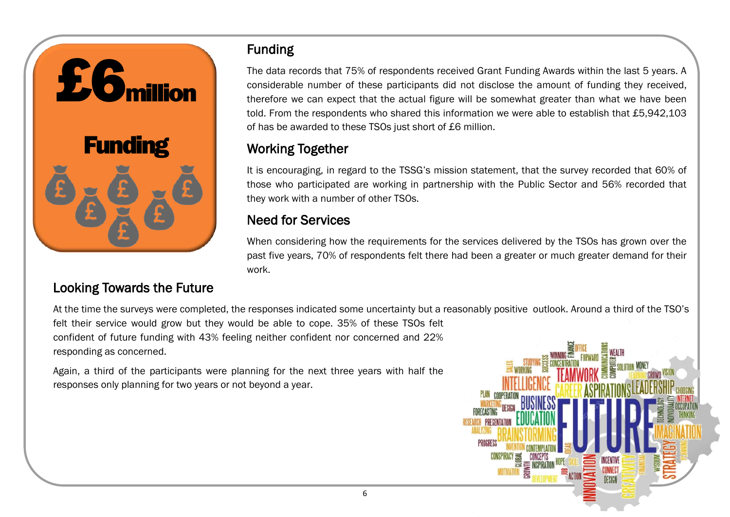

# Funding

The data records that 75% of respondents received Grant Funding Awards within the last 5 years. A considerable number of these participants did not disclose the amount of funding they received, therefore we can expect that the actual figure will be somewhat greater than what we have been told. From the respondents who shared this information we were able to establish that £5,942,103 of has be awarded to these TSOs just short of £6 million.

# Working Together

It is encouraging, in regard to the TSSG's mission statement, that the survey recorded that 60% of those who participated are working in partnership with the Public Sector and 56% recorded that they work with a number of other TSOs.

### Need for Services

When considering how the requirements for the services delivered by the TSOs has grown over the past five years, 70% of respondents felt there had been a greater or much greater demand for their work.

# Looking Towards the Future

At the time the surveys were completed, the responses indicated some uncertainty but a reasonably positive outlook. Around a third of the TSO's felt their service would grow but they would be able to cope. 35% of these TSOs felt confident of future funding with 43% feeling neither confident nor concerned and 22% responding as concerned.

Again, a third of the participants were planning for the next three years with half the responses only planning for two years or not beyond a year.